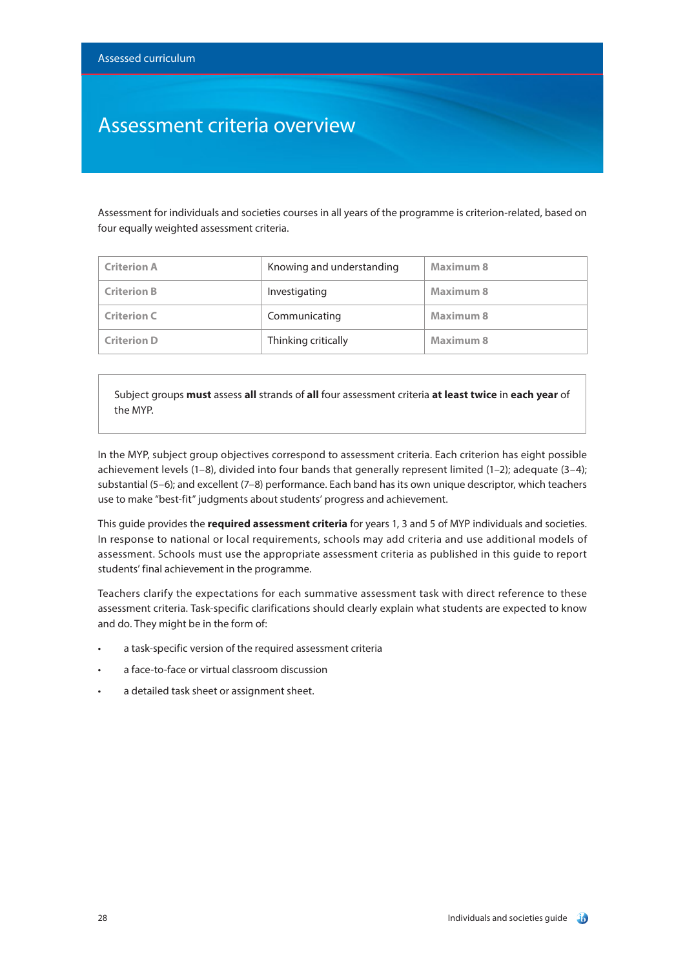### Assessment criteria overview

Assessment for individuals and societies courses in all years of the programme is criterion-related, based on four equally weighted assessment criteria.

| <b>Criterion A</b> | Knowing and understanding | Maximum 8        |
|--------------------|---------------------------|------------------|
| <b>Criterion B</b> | Investigating             | Maximum 8        |
| <b>Criterion C</b> | Communicating             | Maximum 8        |
| <b>Criterion D</b> | Thinking critically       | <b>Maximum 8</b> |

Subject groups **must** assess **all** strands of **all** four assessment criteria **at least twice** in **each year** of the MYP.

In the MYP, subject group objectives correspond to assessment criteria. Each criterion has eight possible achievement levels (1–8), divided into four bands that generally represent limited (1–2); adequate (3–4); substantial (5–6); and excellent (7–8) performance. Each band has its own unique descriptor, which teachers use to make "best-fit" judgments about students' progress and achievement.

This guide provides the **required assessment criteria** for years 1, 3 and 5 of MYP individuals and societies. In response to national or local requirements, schools may add criteria and use additional models of assessment. Schools must use the appropriate assessment criteria as published in this guide to report students' final achievement in the programme.

Teachers clarify the expectations for each summative assessment task with direct reference to these assessment criteria. Task-specific clarifications should clearly explain what students are expected to know and do. They might be in the form of:

- a task-specific version of the required assessment criteria
- a face-to-face or virtual classroom discussion
- a detailed task sheet or assignment sheet.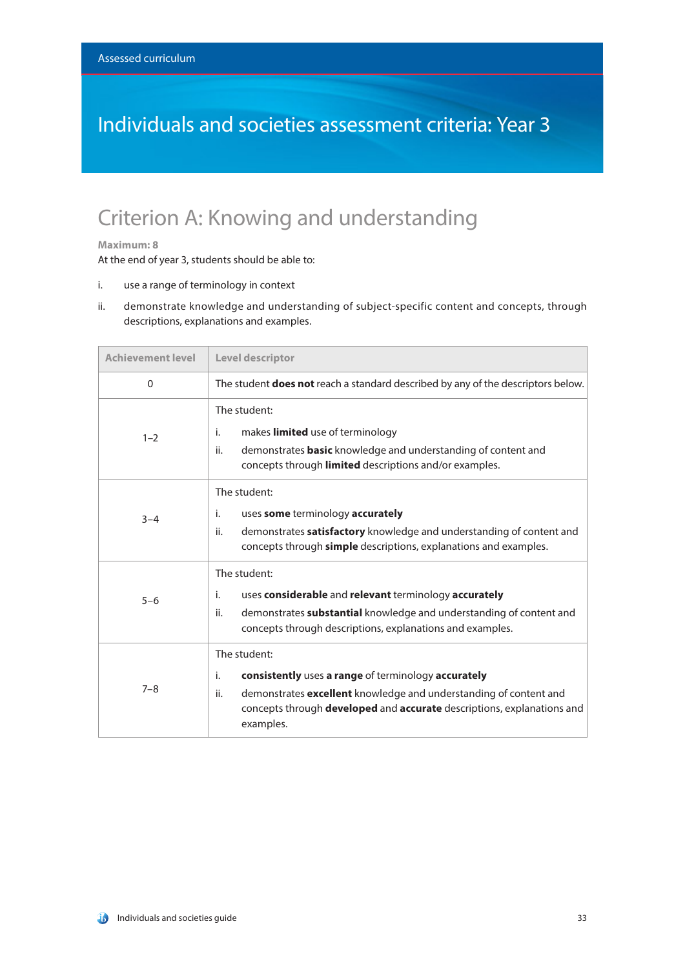### Individuals and societies assessment criteria: Year 3

### Criterion A: Knowing and understanding

#### **Maximum: 8**

- i. use a range of terminology in context
- ii. demonstrate knowledge and understanding of subject-specific content and concepts, through descriptions, explanations and examples.

| <b>Achievement level</b> | <b>Level descriptor</b>                                                                                                                                                                                                                      |
|--------------------------|----------------------------------------------------------------------------------------------------------------------------------------------------------------------------------------------------------------------------------------------|
| $\Omega$                 | The student <b>does not</b> reach a standard described by any of the descriptors below.                                                                                                                                                      |
| $1 - 2$                  | The student:<br>makes limited use of terminology<br>i.<br>ii.<br>demonstrates <b>basic</b> knowledge and understanding of content and<br>concepts through <b>limited</b> descriptions and/or examples.                                       |
| $3 - 4$                  | The student:<br>i.<br>uses some terminology accurately<br>ii.<br>demonstrates <b>satisfactory</b> knowledge and understanding of content and<br>concepts through <b>simple</b> descriptions, explanations and examples.                      |
| $5 - 6$                  | The student:<br>uses considerable and relevant terminology accurately<br>i.<br>demonstrates substantial knowledge and understanding of content and<br>ii.<br>concepts through descriptions, explanations and examples.                       |
| $7 - 8$                  | The student:<br>i.<br>consistently uses a range of terminology accurately<br>demonstrates excellent knowledge and understanding of content and<br>ii.<br>concepts through developed and accurate descriptions, explanations and<br>examples. |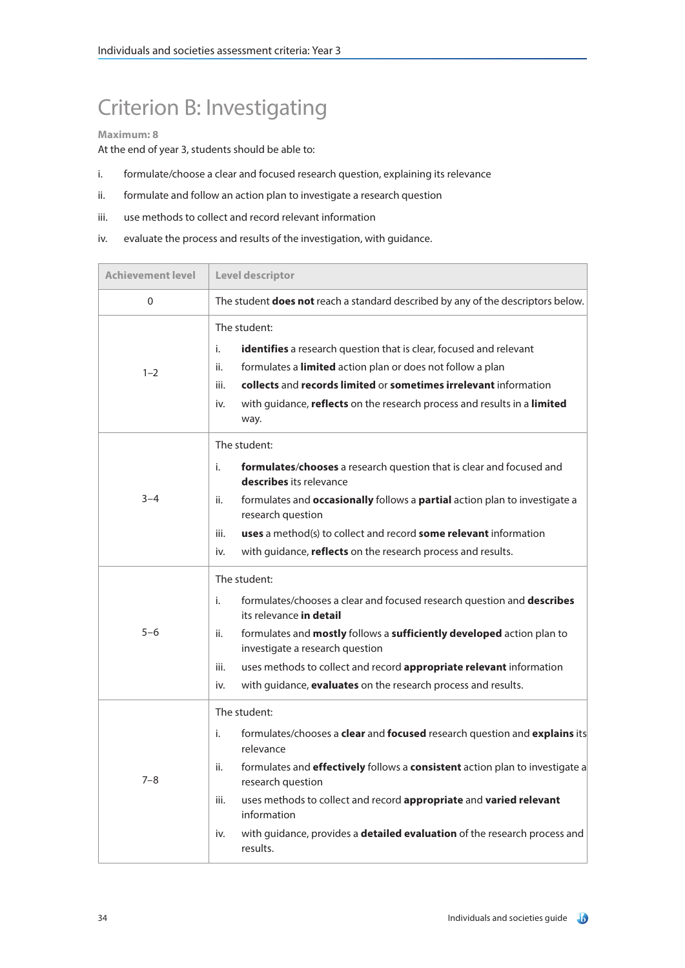# Criterion B: Investigating

### **Maximum: 8**

- i. formulate/choose a clear and focused research question, explaining its relevance
- ii. formulate and follow an action plan to investigate a research question
- iii. use methods to collect and record relevant information
- iv. evaluate the process and results of the investigation, with guidance.

| <b>Achievement level</b> | Level descriptor                                                                                                                                                                                                                                                                                                                                                                                                             |
|--------------------------|------------------------------------------------------------------------------------------------------------------------------------------------------------------------------------------------------------------------------------------------------------------------------------------------------------------------------------------------------------------------------------------------------------------------------|
| 0                        | The student does not reach a standard described by any of the descriptors below.                                                                                                                                                                                                                                                                                                                                             |
| $1 - 2$                  | The student:<br>i.<br>identifies a research question that is clear, focused and relevant<br>formulates a limited action plan or does not follow a plan<br>ii.<br>collects and records limited or sometimes irrelevant information<br>iii.<br>with guidance, reflects on the research process and results in a limited<br>iv.<br>way.                                                                                         |
| $3 - 4$                  | The student:<br>formulates/chooses a research question that is clear and focused and<br>i.<br>describes its relevance<br>formulates and <b>occasionally</b> follows a <b>partial</b> action plan to investigate a<br>ii.<br>research question<br><b>uses</b> a method(s) to collect and record <b>some relevant</b> information<br>iii.<br>with guidance, reflects on the research process and results.<br>iv.               |
| $5 - 6$                  | The student:<br>i.<br>formulates/chooses a clear and focused research question and describes<br>its relevance in detail<br>formulates and mostly follows a sufficiently developed action plan to<br>ii.<br>investigate a research question<br>uses methods to collect and record appropriate relevant information<br>iii.<br>with guidance, evaluates on the research process and results.<br>iv.                            |
| $7 - 8$                  | The student:<br>i.<br>formulates/chooses a clear and focused research question and explains its<br>relevance<br>formulates and effectively follows a consistent action plan to investigate a<br>ii.<br>research question<br>iii.<br>uses methods to collect and record appropriate and varied relevant<br>information<br>with guidance, provides a <b>detailed evaluation</b> of the research process and<br>iv.<br>results. |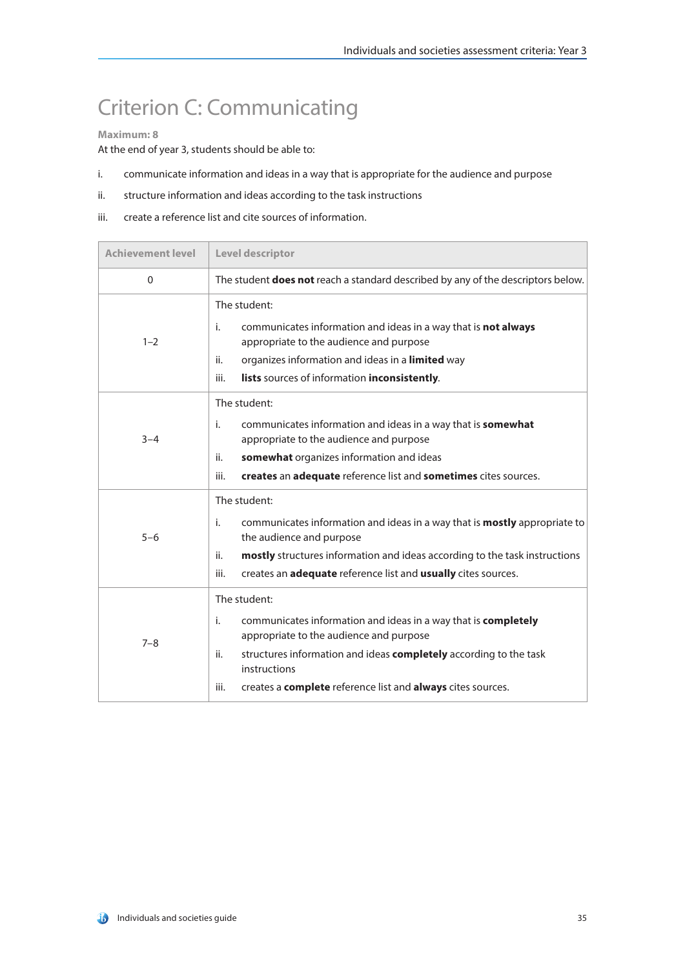## Criterion C: Communicating

#### **Maximum: 8**

- i. communicate information and ideas in a way that is appropriate for the audience and purpose
- ii. structure information and ideas according to the task instructions
- iii. create a reference list and cite sources of information.

| <b>Achievement level</b> | Level descriptor                                                                                                                                                                                                                                                                                   |
|--------------------------|----------------------------------------------------------------------------------------------------------------------------------------------------------------------------------------------------------------------------------------------------------------------------------------------------|
| $\Omega$                 | The student <b>does not</b> reach a standard described by any of the descriptors below.                                                                                                                                                                                                            |
| $1 - 2$                  | The student:<br>communicates information and ideas in a way that is not always<br>i.<br>appropriate to the audience and purpose<br>organizes information and ideas in a limited way<br>ii.<br>iii.<br>lists sources of information inconsistently.                                                 |
| $3 - 4$                  | The student:<br>communicates information and ideas in a way that is somewhat<br>i.<br>appropriate to the audience and purpose<br>somewhat organizes information and ideas<br>ii.<br>creates an adequate reference list and sometimes cites sources.<br>iii.                                        |
| $5 - 6$                  | The student:<br>communicates information and ideas in a way that is <b>mostly</b> appropriate to<br>i.<br>the audience and purpose<br>ii.<br>mostly structures information and ideas according to the task instructions<br>creates an adequate reference list and usually cites sources.<br>iii.   |
| $7 - 8$                  | The student:<br>i.<br>communicates information and ideas in a way that is completely<br>appropriate to the audience and purpose<br>structures information and ideas completely according to the task<br>ii.<br>instructions<br>creates a complete reference list and always cites sources.<br>iii. |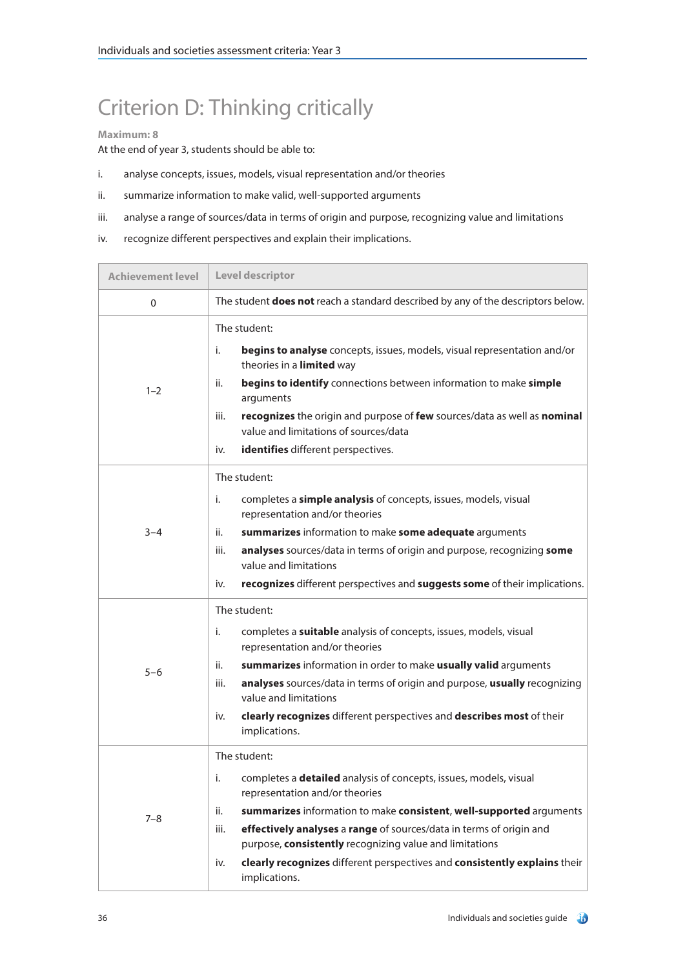# Criterion D: Thinking critically

### **Maximum: 8**

- i. analyse concepts, issues, models, visual representation and/or theories
- ii. summarize information to make valid, well-supported arguments
- iii. analyse a range of sources/data in terms of origin and purpose, recognizing value and limitations
- iv. recognize different perspectives and explain their implications.

| <b>Achievement level</b> | Level descriptor                                                                                                                                                                                                                                                                                                                                                                                                                                              |
|--------------------------|---------------------------------------------------------------------------------------------------------------------------------------------------------------------------------------------------------------------------------------------------------------------------------------------------------------------------------------------------------------------------------------------------------------------------------------------------------------|
| 0                        | The student does not reach a standard described by any of the descriptors below.                                                                                                                                                                                                                                                                                                                                                                              |
| $1 - 2$                  | The student:<br>i.<br>begins to analyse concepts, issues, models, visual representation and/or<br>theories in a limited way<br>begins to identify connections between information to make simple<br>ii.<br>arguments<br>recognizes the origin and purpose of few sources/data as well as nominal<br>iii.<br>value and limitations of sources/data<br>identifies different perspectives.<br>iv.                                                                |
| $3 - 4$                  | The student:<br>completes a simple analysis of concepts, issues, models, visual<br>i.<br>representation and/or theories<br>summarizes information to make some adequate arguments<br>ii.<br>analyses sources/data in terms of origin and purpose, recognizing some<br>iii.<br>value and limitations<br>recognizes different perspectives and suggests some of their implications.<br>iv.                                                                      |
| $5 - 6$                  | The student:<br>completes a suitable analysis of concepts, issues, models, visual<br>i.<br>representation and/or theories<br>summarizes information in order to make usually valid arguments<br>ii.<br>analyses sources/data in terms of origin and purpose, usually recognizing<br>iii.<br>value and limitations<br>clearly recognizes different perspectives and describes most of their<br>iv.<br>implications.                                            |
| $7 - 8$                  | The student:<br>completes a <b>detailed</b> analysis of concepts, issues, models, visual<br>i.<br>representation and/or theories<br>summarizes information to make consistent, well-supported arguments<br>ii.<br>effectively analyses a range of sources/data in terms of origin and<br>iii.<br>purpose, consistently recognizing value and limitations<br>clearly recognizes different perspectives and consistently explains their<br>iv.<br>implications. |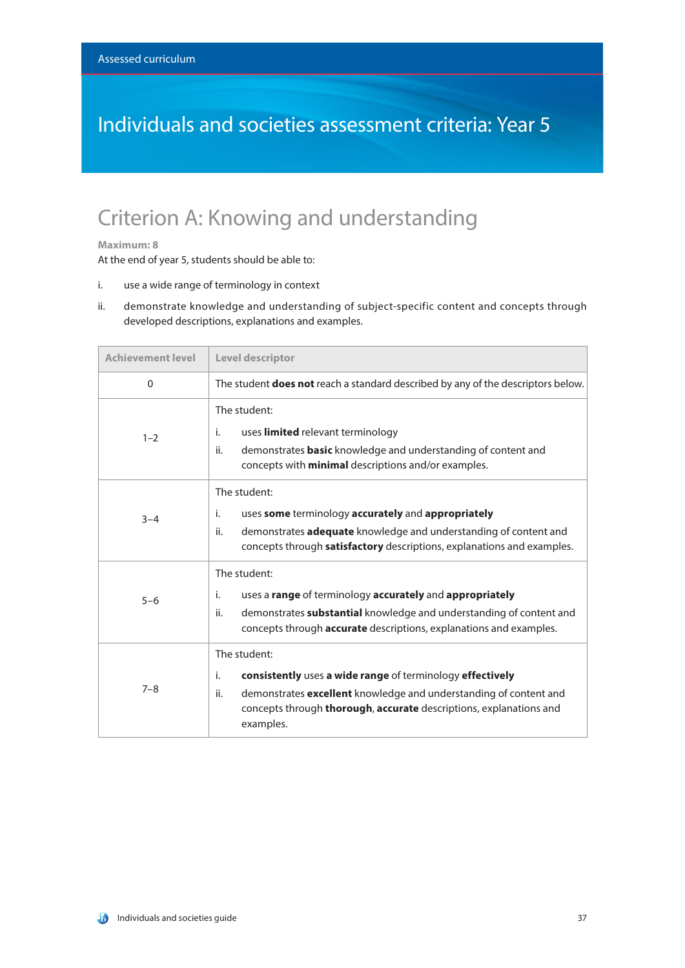### Individuals and societies assessment criteria: Year 5

### Criterion A: Knowing and understanding

#### **Maximum: 8**

- i. use a wide range of terminology in context
- ii. demonstrate knowledge and understanding of subject-specific content and concepts through developed descriptions, explanations and examples.

| <b>Achievement level</b> | Level descriptor                                                                                                                                                                                                                                      |
|--------------------------|-------------------------------------------------------------------------------------------------------------------------------------------------------------------------------------------------------------------------------------------------------|
| $\Omega$                 | The student <b>does not</b> reach a standard described by any of the descriptors below.                                                                                                                                                               |
| $1 - 2$                  | The student:<br>uses limited relevant terminology<br>i.<br>demonstrates <b>basic</b> knowledge and understanding of content and<br>ii.<br>concepts with <b>minimal</b> descriptions and/or examples.                                                  |
| $3 - 4$                  | The student:<br>uses some terminology accurately and appropriately<br>i.<br>demonstrates adequate knowledge and understanding of content and<br>ii.<br>concepts through <b>satisfactory</b> descriptions, explanations and examples.                  |
| $5 - 6$                  | The student:<br>uses a range of terminology accurately and appropriately<br>i.<br>demonstrates substantial knowledge and understanding of content and<br>ii.<br>concepts through <b>accurate</b> descriptions, explanations and examples.             |
| $7 - 8$                  | The student:<br>consistently uses a wide range of terminology effectively<br>i.<br>demonstrates excellent knowledge and understanding of content and<br>ii.<br>concepts through <b>thorough, accurate</b> descriptions, explanations and<br>examples. |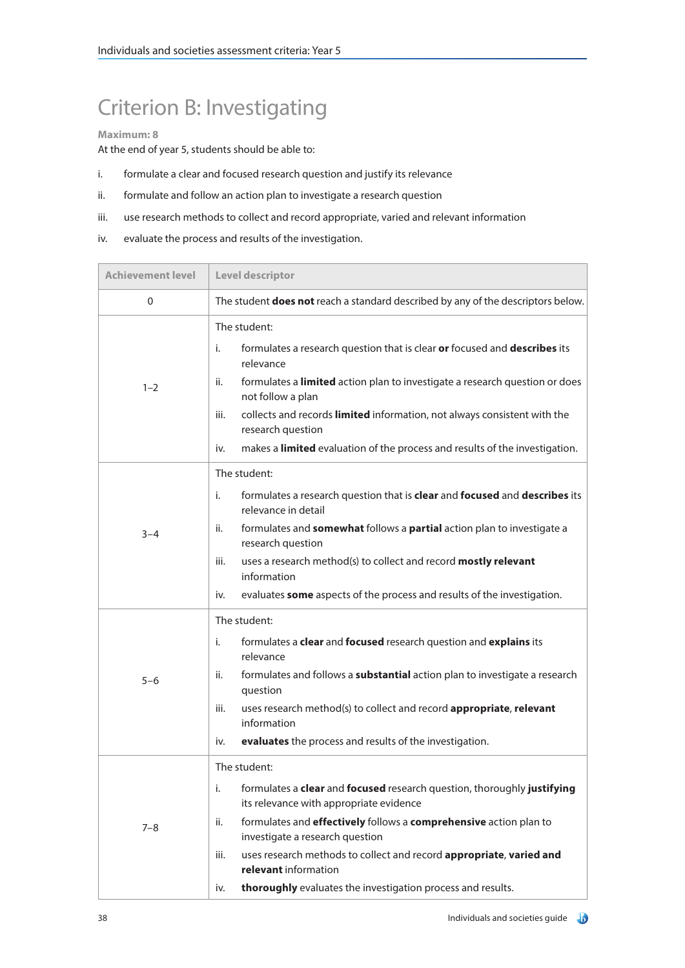# Criterion B: Investigating

### **Maximum: 8**

- i. formulate a clear and focused research question and justify its relevance
- ii. formulate and follow an action plan to investigate a research question
- iii. use research methods to collect and record appropriate, varied and relevant information
- iv. evaluate the process and results of the investigation.

| <b>Achievement level</b> | Level descriptor                                                                                                                                                                                                                                                                                                                                                                                                                     |
|--------------------------|--------------------------------------------------------------------------------------------------------------------------------------------------------------------------------------------------------------------------------------------------------------------------------------------------------------------------------------------------------------------------------------------------------------------------------------|
| 0                        | The student <b>does not</b> reach a standard described by any of the descriptors below.                                                                                                                                                                                                                                                                                                                                              |
| $1 - 2$                  | The student:<br>i.<br>formulates a research question that is clear or focused and describes its<br>relevance<br>formulates a limited action plan to investigate a research question or does<br>ii.<br>not follow a plan<br>iii.<br>collects and records limited information, not always consistent with the<br>research question<br>makes a <b>limited</b> evaluation of the process and results of the investigation.<br>iv.        |
| $3 - 4$                  | The student:<br>formulates a research question that is clear and focused and describes its<br>i.<br>relevance in detail<br>formulates and somewhat follows a partial action plan to investigate a<br>ii.<br>research question<br>iii.<br>uses a research method(s) to collect and record mostly relevant<br>information<br>evaluates some aspects of the process and results of the investigation.<br>iv.                            |
| $5 - 6$                  | The student:<br>formulates a clear and focused research question and explains its<br>i.<br>relevance<br>formulates and follows a <b>substantial</b> action plan to investigate a research<br>ii.<br>question<br>uses research method(s) to collect and record appropriate, relevant<br>iii.<br>information<br>evaluates the process and results of the investigation.<br>iv.                                                         |
| $7 - 8$                  | The student:<br>formulates a clear and focused research question, thoroughly justifying<br>i.<br>its relevance with appropriate evidence<br>formulates and effectively follows a comprehensive action plan to<br>ii.<br>investigate a research question<br>uses research methods to collect and record appropriate, varied and<br>iii.<br>relevant information<br>thoroughly evaluates the investigation process and results.<br>iv. |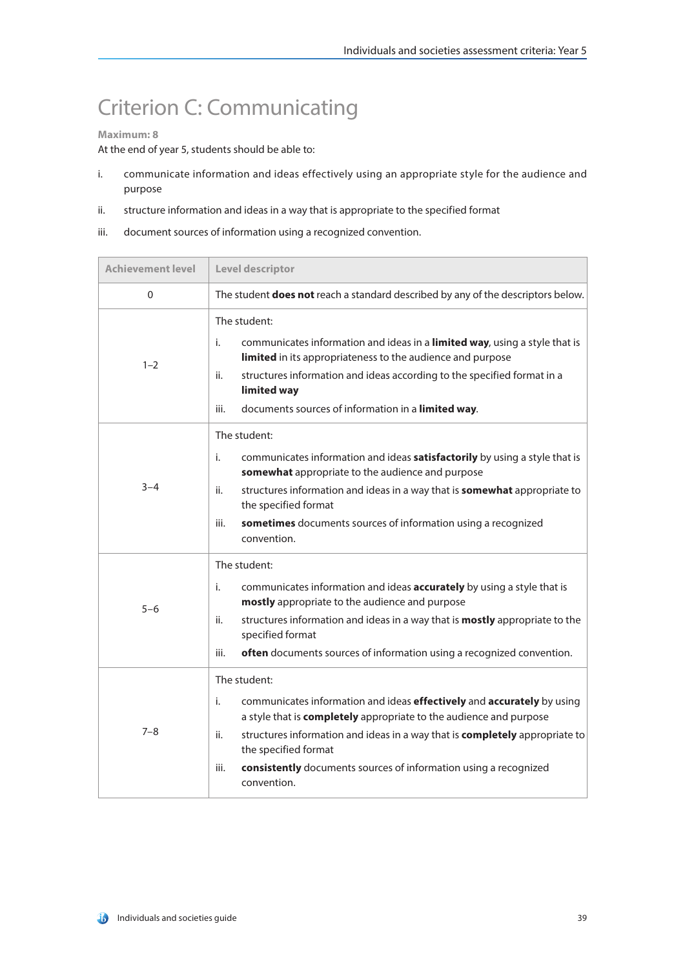## Criterion C: Communicating

#### **Maximum: 8**

- i. communicate information and ideas effectively using an appropriate style for the audience and purpose
- ii. structure information and ideas in a way that is appropriate to the specified format
- iii. document sources of information using a recognized convention.

| <b>Achievement level</b> | Level descriptor                                                                                                                                                                                                                                                                                                                                                                   |
|--------------------------|------------------------------------------------------------------------------------------------------------------------------------------------------------------------------------------------------------------------------------------------------------------------------------------------------------------------------------------------------------------------------------|
| $\Omega$                 | The student <b>does not</b> reach a standard described by any of the descriptors below.                                                                                                                                                                                                                                                                                            |
| $1 - 2$                  | The student:<br>i.<br>communicates information and ideas in a limited way, using a style that is<br>limited in its appropriateness to the audience and purpose<br>structures information and ideas according to the specified format in a<br>ii.<br>limited way<br>iii.<br>documents sources of information in a limited way.                                                      |
| $3 - 4$                  | The student:<br>i.<br>communicates information and ideas satisfactorily by using a style that is<br>somewhat appropriate to the audience and purpose<br>structures information and ideas in a way that is <b>somewhat</b> appropriate to<br>ii.<br>the specified format<br>sometimes documents sources of information using a recognized<br>iii.<br>convention.                    |
| $5 - 6$                  | The student:<br>i.<br>communicates information and ideas <b>accurately</b> by using a style that is<br>mostly appropriate to the audience and purpose<br>structures information and ideas in a way that is <b>mostly</b> appropriate to the<br>ii.<br>specified format<br>often documents sources of information using a recognized convention.<br>iii.                            |
| $7 - 8$                  | The student:<br>communicates information and ideas effectively and accurately by using<br>i.<br>a style that is <b>completely</b> appropriate to the audience and purpose<br>structures information and ideas in a way that is completely appropriate to<br>ii.<br>the specified format<br>consistently documents sources of information using a recognized<br>iii.<br>convention. |